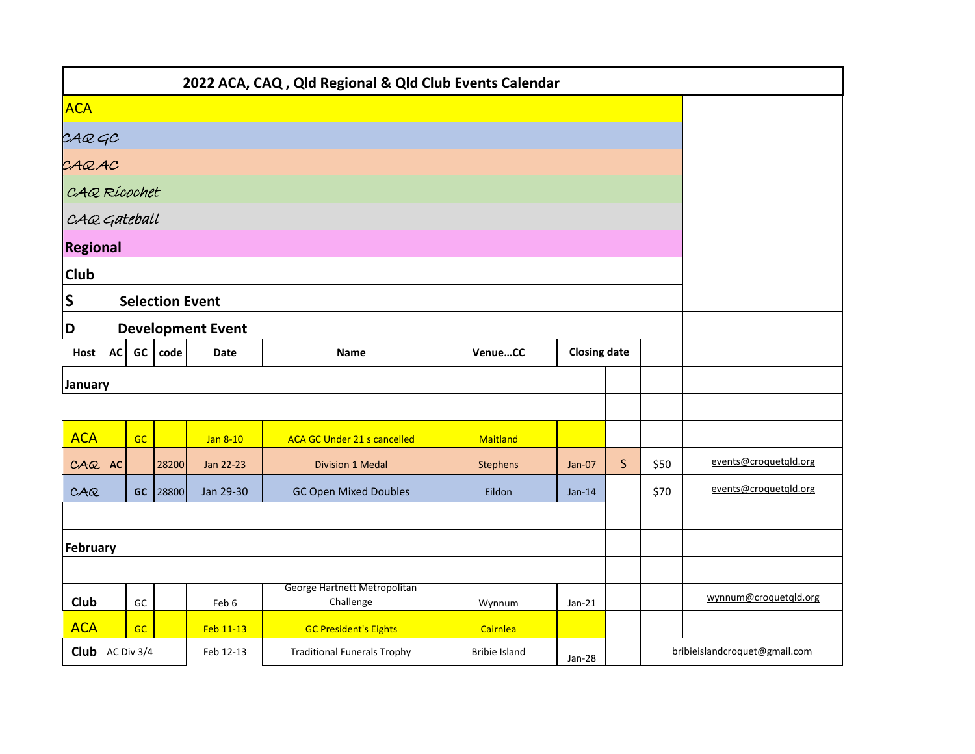|                 |                                                                                |            |                        |                          | 2022 ACA, CAQ, Qld Regional & Qld Club Events Calendar |                      |                     |              |      |                               |
|-----------------|--------------------------------------------------------------------------------|------------|------------------------|--------------------------|--------------------------------------------------------|----------------------|---------------------|--------------|------|-------------------------------|
| <b>ACA</b>      |                                                                                |            |                        |                          |                                                        |                      |                     |              |      |                               |
|                 |                                                                                |            |                        |                          |                                                        |                      |                     |              |      |                               |
| CAQGC<br>CAQAC  |                                                                                |            |                        |                          |                                                        |                      |                     |              |      |                               |
| CAQ Rícochet    |                                                                                |            |                        |                          |                                                        |                      |                     |              |      |                               |
| CAQ Gateball    |                                                                                |            |                        |                          |                                                        |                      |                     |              |      |                               |
| <b>Regional</b> |                                                                                |            |                        |                          |                                                        |                      |                     |              |      |                               |
| <b>Club</b>     |                                                                                |            |                        |                          |                                                        |                      |                     |              |      |                               |
| S               |                                                                                |            | <b>Selection Event</b> |                          |                                                        |                      |                     |              |      |                               |
| D               |                                                                                |            |                        | <b>Development Event</b> |                                                        |                      |                     |              |      |                               |
| Host            | AC                                                                             | GC         | code                   | <b>Date</b>              | <b>Name</b>                                            | VenueCC              | <b>Closing date</b> |              |      |                               |
| <b>January</b>  |                                                                                |            |                        |                          |                                                        |                      |                     |              |      |                               |
|                 |                                                                                |            |                        |                          |                                                        |                      |                     |              |      |                               |
| <b>ACA</b>      |                                                                                | GC         |                        | Jan 8-10                 | ACA GC Under 21 s cancelled                            | Maitland             |                     |              |      |                               |
| C A Q           | AC                                                                             |            | 28200                  | Jan 22-23                | <b>Division 1 Medal</b>                                | <b>Stephens</b>      | Jan-07              | $\mathsf{S}$ | \$50 | events@croquetqld.org         |
| C A Q           |                                                                                |            | GC 28800               | Jan 29-30                | <b>GC Open Mixed Doubles</b>                           | Eildon               | $Jan-14$            |              | \$70 | events@croquetgld.org         |
|                 |                                                                                |            |                        |                          |                                                        |                      |                     |              |      |                               |
| February        |                                                                                |            |                        |                          |                                                        |                      |                     |              |      |                               |
|                 |                                                                                |            |                        |                          |                                                        |                      |                     |              |      |                               |
| Club            | George Hartnett Metropolitan<br>GC<br>Challenge<br>Feb 6<br>Wynnum<br>$Jan-21$ |            |                        |                          |                                                        |                      |                     |              |      | wynnum@croquetgld.org         |
| <b>ACA</b>      |                                                                                | GC         |                        | Feb 11-13                | <b>GC President's Eights</b>                           | Cairnlea             |                     |              |      |                               |
| <b>Club</b>     |                                                                                | AC Div 3/4 |                        | Feb 12-13                | <b>Traditional Funerals Trophy</b>                     | <b>Bribie Island</b> | Jan-28              |              |      | bribieislandcroquet@gmail.com |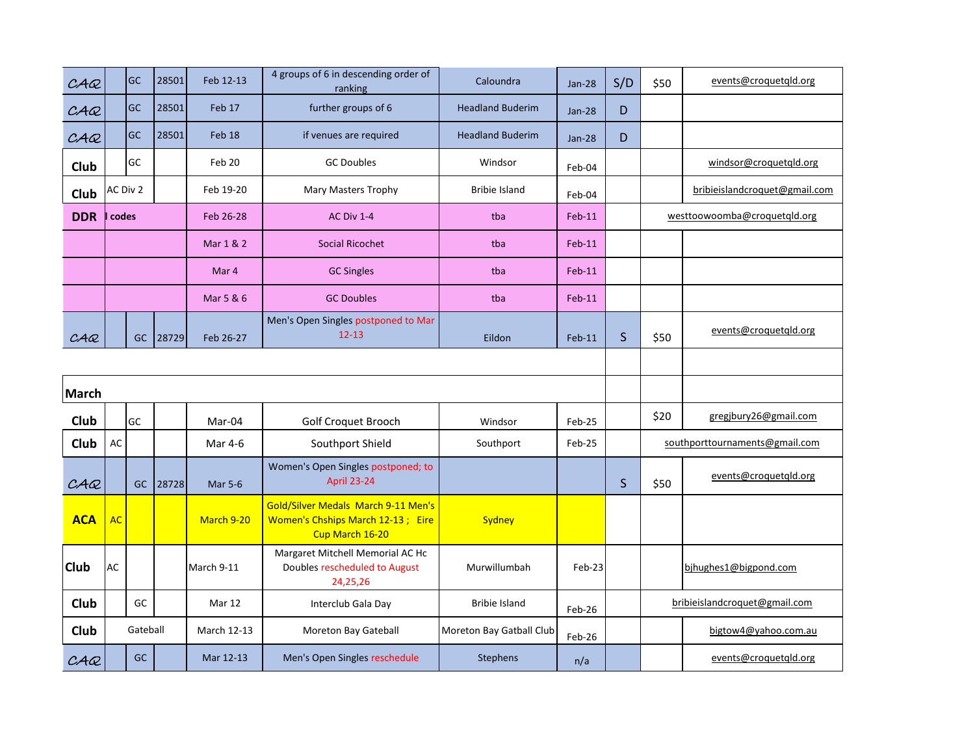| CAC         |           | <b>GC</b> | 28501 | Feb 12-13      | 4 groups of 6 in descending order of<br>ranking                                             | Caloundra                | <b>Jan-28</b> | S/D          | \$50 | events@croquetqld.org          |
|-------------|-----------|-----------|-------|----------------|---------------------------------------------------------------------------------------------|--------------------------|---------------|--------------|------|--------------------------------|
| C A Q       |           | <b>GC</b> | 28501 | Feb 17         | further groups of 6                                                                         | <b>Headland Buderim</b>  | <b>Jan-28</b> | D            |      |                                |
| C A Q       |           | GC        | 28501 | Feb 18         | if venues are required                                                                      | <b>Headland Buderim</b>  | <b>Jan-28</b> | D            |      |                                |
| Club        |           | GC        |       | Feb 20         | <b>GC Doubles</b>                                                                           | Windsor                  | Feb-04        |              |      | windsor@croquetqld.org         |
| Club        | AC Div 2  |           |       | Feb 19-20      | Mary Masters Trophy                                                                         | <b>Bribie Island</b>     | Feb-04        |              |      | bribieislandcroquet@gmail.com  |
| <b>DDR</b>  | codes     |           |       | Feb 26-28      | <b>AC Div 1-4</b>                                                                           | tba                      | $Feb-11$      |              |      | westtoowoomba@croquetqld.org   |
|             |           |           |       | Mar 1 & 2      | Social Ricochet                                                                             | tba                      | $Feb-11$      |              |      |                                |
|             |           |           |       | Mar 4          | <b>GC Singles</b>                                                                           | tba                      | $Feb-11$      |              |      |                                |
|             |           |           |       | Mar 5 & 6      | <b>GC Doubles</b>                                                                           | tba                      | $Feb-11$      |              |      |                                |
| CAC         |           | <b>GC</b> | 28729 | Feb 26-27      | Men's Open Singles postponed to Mar<br>$12 - 13$                                            | Eildon                   | $Feb-11$      | $\mathsf S$  | \$50 | events@croquetqld.org          |
|             |           |           |       |                |                                                                                             |                          |               |              |      |                                |
|             |           |           |       |                |                                                                                             |                          |               |              |      |                                |
| March       |           |           |       |                |                                                                                             |                          |               |              |      |                                |
| Club        |           | GC        |       | Mar-04         | Golf Croquet Brooch                                                                         | Windsor                  | Feb-25        |              | \$20 | gregjbury26@gmail.com          |
| Club        | AC        |           |       | Mar 4-6        | Southport Shield                                                                            | Southport                | Feb-25        |              |      | southporttournaments@gmail.com |
| CAC         |           | <b>GC</b> | 28728 | <b>Mar 5-6</b> | Women's Open Singles postponed; to<br><b>April 23-24</b>                                    |                          |               | $\mathsf{S}$ | \$50 | events@croquetgld.org          |
| <b>ACA</b>  | <b>AC</b> |           |       | March 9-20     | Gold/Silver Medals March 9-11 Men's<br>Women's Chships March 12-13; Eire<br>Cup March 16-20 | Sydney                   |               |              |      |                                |
| <b>Club</b> | AC        |           |       | March 9-11     | Margaret Mitchell Memorial AC Hc<br>Doubles rescheduled to August<br>24,25,26               | Murwillumbah             | Feb-23        |              |      | bjhughes1@bigpond.com          |
| Club        |           | GC        |       | Mar 12         | Interclub Gala Day                                                                          | <b>Bribie Island</b>     | Feb-26        |              |      | bribieislandcroquet@gmail.com  |
| <b>Club</b> |           | Gateball  |       | March 12-13    | Moreton Bay Gateball                                                                        | Moreton Bay Gatball Club | Feb-26        |              |      | bigtow4@yahoo.com.au           |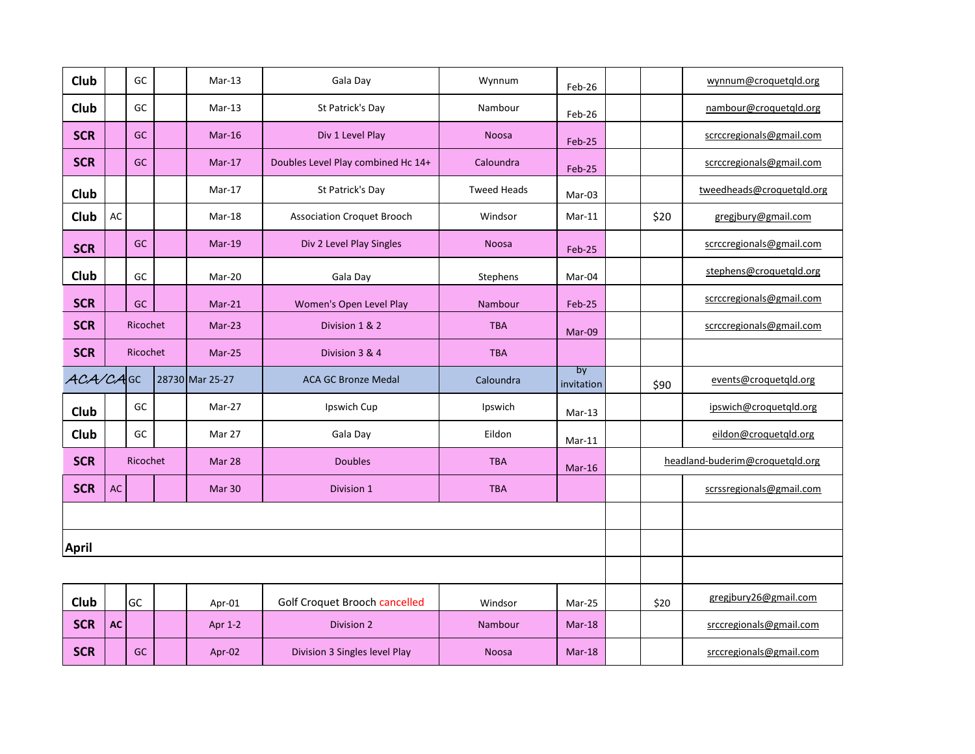| Club         |           | GC        | $Mar-13$          | Gala Day                           | Wynnum             | Feb-26           |      | wynnum@croquetgld.org           |
|--------------|-----------|-----------|-------------------|------------------------------------|--------------------|------------------|------|---------------------------------|
| Club         |           | GC        | $Mar-13$          | St Patrick's Day                   | Nambour            | Feb-26           |      | nambour@croquetgld.org          |
| <b>SCR</b>   |           | GC        | $Mar-16$          | Div 1 Level Play                   | <b>Noosa</b>       | Feb-25           |      | scrccregionals@gmail.com        |
| <b>SCR</b>   |           | <b>GC</b> | $Mar-17$          | Doubles Level Play combined Hc 14+ | Caloundra          | Feb-25           |      | scrccregionals@gmail.com        |
| Club         |           |           | Mar-17            | St Patrick's Day                   | <b>Tweed Heads</b> | Mar-03           |      | tweedheads@croquetqld.org       |
| Club         | AC        |           | Mar-18            | <b>Association Croquet Brooch</b>  | Windsor            | $Mar-11$         | \$20 | gregjbury@gmail.com             |
| <b>SCR</b>   |           | <b>GC</b> | $Mar-19$          | Div 2 Level Play Singles           | <b>Noosa</b>       | Feb-25           |      | scrccregionals@gmail.com        |
| Club         |           | GC        | Mar-20            | Gala Day                           | Stephens           | Mar-04           |      | stephens@croquetgld.org         |
| <b>SCR</b>   |           | GC        | $Mar-21$          | Women's Open Level Play            | Nambour            | Feb-25           |      | scrccregionals@gmail.com        |
| <b>SCR</b>   |           | Ricochet  | Mar-23            | Division 1 & 2                     | <b>TBA</b>         | Mar-09           |      | scrccregionals@gmail.com        |
| <b>SCR</b>   |           | Ricochet  | $Mar-25$          | Division 3 & 4                     | <b>TBA</b>         |                  |      |                                 |
| ACA/CAGC     |           |           | 28730 Mar 25-27   | <b>ACA GC Bronze Medal</b>         | Caloundra          | by<br>invitation | \$90 | events@croquetqld.org           |
|              |           |           |                   |                                    |                    |                  |      |                                 |
| Club         |           | GC        | Mar-27            | Ipswich Cup                        | Ipswich            | Mar-13           |      | ipswich@croquetqld.org          |
| Club         |           | GC        | Mar 27            | Gala Day                           | Eildon             | $Mar-11$         |      | eildon@croquetqld.org           |
| <b>SCR</b>   |           | Ricochet  | Mar 28            | <b>Doubles</b>                     | <b>TBA</b>         | $Mar-16$         |      | headland-buderim@croquetqld.org |
| <b>SCR</b>   | <b>AC</b> |           | Mar <sub>30</sub> | Division 1                         | <b>TBA</b>         |                  |      | scrssregionals@gmail.com        |
|              |           |           |                   |                                    |                    |                  |      |                                 |
| <b>April</b> |           |           |                   |                                    |                    |                  |      |                                 |
|              |           |           |                   |                                    |                    |                  |      |                                 |
| Club         |           | GC        | Apr-01            | Golf Croquet Brooch cancelled      | Windsor            | Mar-25           | \$20 | gregjbury26@gmail.com           |
| <b>SCR</b>   | <b>AC</b> |           | Apr 1-2           | <b>Division 2</b>                  | Nambour            | $Mar-18$         |      | srccregionals@gmail.com         |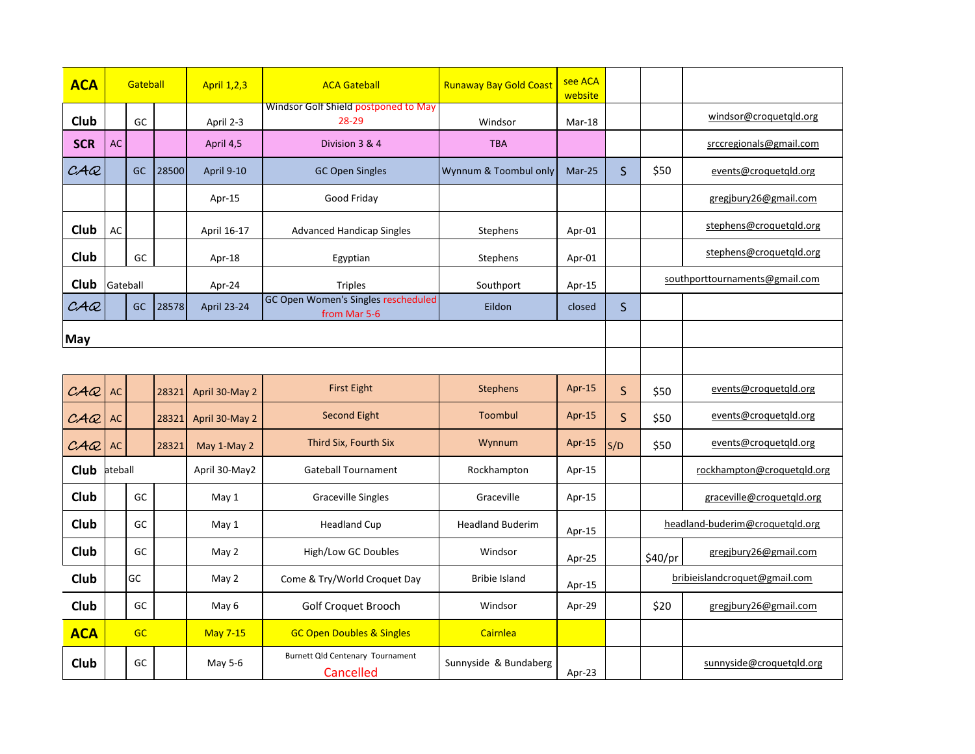| <b>ACA</b>  |           | Gateball  |       | <b>April 1,2,3</b> | <b>ACA Gateball</b>                                 | <b>Runaway Bay Gold Coast</b> | see ACA<br>website |              |         |                                 |
|-------------|-----------|-----------|-------|--------------------|-----------------------------------------------------|-------------------------------|--------------------|--------------|---------|---------------------------------|
| Club        |           | GC        |       | April 2-3          | Windsor Golf Shield postponed to May<br>28-29       | Windsor                       | Mar-18             |              |         | windsor@croquetqld.org          |
| <b>SCR</b>  | <b>AC</b> |           |       | April 4,5          | Division 3 & 4                                      | <b>TBA</b>                    |                    |              |         | srccregionals@gmail.com         |
| C A Q       |           | <b>GC</b> | 28500 | April 9-10         | <b>GC Open Singles</b>                              | Wynnum & Toombul only         | Mar-25             | $\mathsf{S}$ | \$50    | events@croquetqld.org           |
|             |           |           |       | Apr-15             | Good Friday                                         |                               |                    |              |         | gregibury26@gmail.com           |
| <b>Club</b> | AC        |           |       | April 16-17        | <b>Advanced Handicap Singles</b>                    | Stephens                      | Apr-01             |              |         | stephens@croquetgld.org         |
| Club        |           | GC        |       | Apr-18             | Egyptian                                            | Stephens                      | Apr-01             |              |         | stephens@croquetqld.org         |
| Club        | Gateball  |           |       | Apr-24             | <b>Triples</b>                                      | Southport                     | Apr-15             |              |         | southporttournaments@gmail.com  |
| CAC         |           | <b>GC</b> | 28578 | April 23-24        | GC Open Women's Singles rescheduled<br>from Mar 5-6 | Eildon                        | closed             | $\mathsf S$  |         |                                 |
| <b>May</b>  |           |           |       |                    |                                                     |                               |                    |              |         |                                 |
|             |           |           |       |                    |                                                     |                               |                    |              |         |                                 |
| CAC         | <b>AC</b> |           | 28321 | April 30-May 2     | <b>First Eight</b>                                  | Stephens                      | Apr-15             | $\mathsf{S}$ | \$50    | events@croquetqld.org           |
| CAC         | AC        |           | 28321 | April 30-May 2     | Second Eight                                        | Toombul                       | Apr-15             | S            | \$50    | events@croquetgld.org           |
| C A Q       | <b>AC</b> |           | 28321 | May 1-May 2        | Third Six, Fourth Six                               | Wynnum                        | Apr-15             | S/D          | \$50    | events@croquetgld.org           |
| <b>Club</b> | ateball   |           |       | April 30-May2      | <b>Gateball Tournament</b>                          | Rockhampton                   | Apr-15             |              |         | rockhampton@croquetqld.org      |
| Club        |           | GC        |       | May 1              | <b>Graceville Singles</b>                           | Graceville                    | Apr- $15$          |              |         | graceville@croquetgld.org       |
| Club        |           | GC        |       | May 1              | <b>Headland Cup</b>                                 | <b>Headland Buderim</b>       | Apr-15             |              |         | headland-buderim@croquetqld.org |
| Club        |           | GC        |       | May 2              | High/Low GC Doubles                                 | Windsor                       | Apr-25             |              | \$40/pr | gregibury26@gmail.com           |
| Club        |           | GC        |       | May 2              | Come & Try/World Croquet Day                        | <b>Bribie Island</b>          | Apr-15             |              |         | bribieislandcroquet@gmail.com   |
| Club        |           | GC        |       | May 6              | Golf Croquet Brooch                                 | Windsor                       | Apr-29             |              | \$20    | gregjbury26@gmail.com           |
| <b>ACA</b>  |           | GC        |       | <b>May 7-15</b>    | <b>GC Open Doubles &amp; Singles</b>                | Cairnlea                      |                    |              |         |                                 |
| Club        |           | GC        |       | May 5-6            | Burnett Qld Centenary Tournament<br>Cancelled       | Sunnyside & Bundaberg         | Apr-23             |              |         | sunnyside@croquetqld.org        |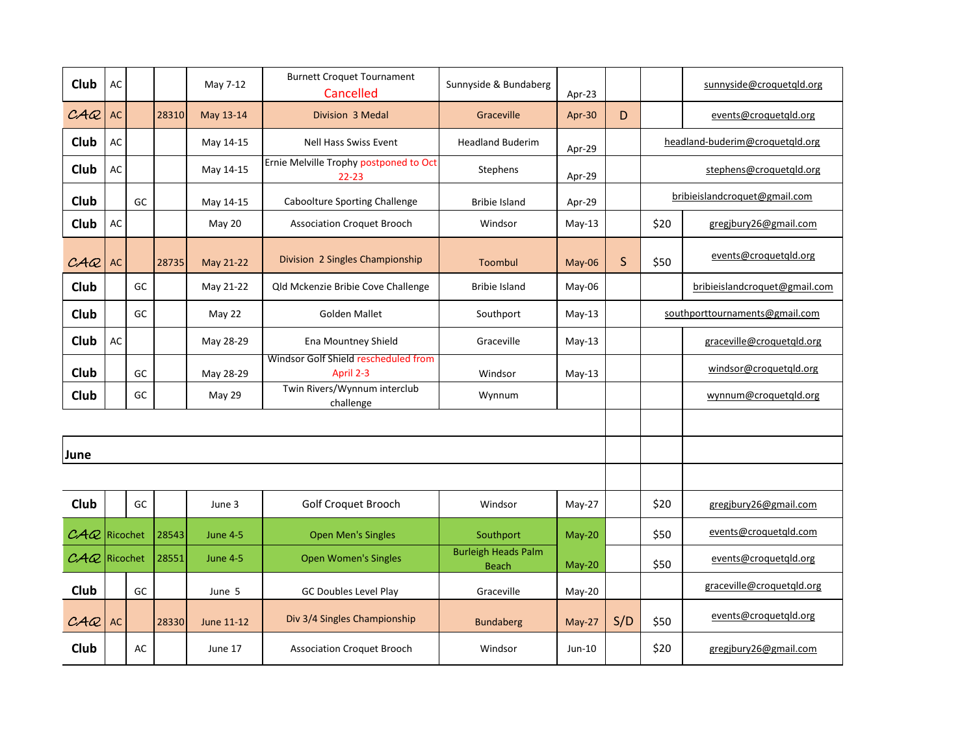| Club                                           | AC        |    |       | May 7-12        | <b>Burnett Croquet Tournament</b><br>Cancelled      | Sunnyside & Bundaberg                      | Apr-23   |              |      | sunnyside@croquetqld.org        |
|------------------------------------------------|-----------|----|-------|-----------------|-----------------------------------------------------|--------------------------------------------|----------|--------------|------|---------------------------------|
| C A Q                                          | <b>AC</b> |    | 28310 | May 13-14       | Division 3 Medal                                    | Graceville                                 | Apr-30   | D            |      | events@croquetgld.org           |
| Club                                           | AC        |    |       | May 14-15       | Nell Hass Swiss Event                               | <b>Headland Buderim</b>                    | Apr-29   |              |      | headland-buderim@croquetqld.org |
| <b>Club</b>                                    | AC        |    |       | May 14-15       | Ernie Melville Trophy postponed to Oct<br>$22 - 23$ | Stephens                                   | Apr-29   |              |      | stephens@croquetqld.org         |
| Club                                           |           | GC |       | May 14-15       | Caboolture Sporting Challenge                       | <b>Bribie Island</b>                       | Apr-29   |              |      | bribieislandcroquet@gmail.com   |
| Club                                           | AC        |    |       | May 20          | <b>Association Croquet Brooch</b>                   | Windsor                                    | $May-13$ |              | \$20 | gregibury26@gmail.com           |
| C A Q                                          | AC        |    | 28735 | May 21-22       | Division 2 Singles Championship                     | Toombul                                    | May-06   | $\mathsf{S}$ | \$50 | events@croquetqld.org           |
| Club                                           |           | GC |       | May 21-22       | Qld Mckenzie Bribie Cove Challenge                  | <b>Bribie Island</b>                       | May-06   |              |      | bribieislandcroquet@gmail.com   |
| Club                                           |           | GC |       | May 22          | <b>Golden Mallet</b>                                | Southport                                  | $May-13$ |              |      | southporttournaments@gmail.com  |
| Club                                           | AC        |    |       | May 28-29       | Ena Mountney Shield                                 | Graceville                                 | $May-13$ |              |      | graceville@croquetqld.org       |
| Club                                           |           | GC |       | May 28-29       | Windsor Golf Shield rescheduled from<br>April 2-3   | Windsor                                    | $May-13$ |              |      | windsor@croquetqld.org          |
| Club                                           |           | GC |       | May 29          | Twin Rivers/Wynnum interclub<br>challenge           | Wynnum                                     |          |              |      | wynnum@croquetqld.org           |
|                                                |           |    |       |                 |                                                     |                                            |          |              |      |                                 |
| June                                           |           |    |       |                 |                                                     |                                            |          |              |      |                                 |
|                                                |           |    |       |                 |                                                     |                                            |          |              |      |                                 |
| Club                                           |           | GC |       | June 3          | Golf Croquet Brooch                                 | Windsor                                    | May-27   |              | \$20 | gregibury26@gmail.com           |
| $\mathcal{C} \mathcal{A} \mathcal{Q}$ Ricochet |           |    | 28543 | <b>June 4-5</b> | <b>Open Men's Singles</b>                           | Southport                                  | May-20   |              | \$50 | events@croquetgld.com           |
| $\mathcal{C}A\mathcal{Q}$ Ricochet             |           |    | 28551 | <b>June 4-5</b> | <b>Open Women's Singles</b>                         | <b>Burleigh Heads Palm</b><br><b>Beach</b> | May-20   |              | \$50 | events@croquetgld.org           |
| Club                                           |           | GC |       | June 5          | GC Doubles Level Play                               | Graceville                                 | May-20   |              |      | graceville@croquetqld.org       |
| C A Q                                          | <b>AC</b> |    | 28330 | June 11-12      | Div 3/4 Singles Championship                        | <b>Bundaberg</b>                           | May-27   | S/D          | \$50 | events@croquetgld.org           |
| Club                                           |           | AC |       | June 17         | <b>Association Croquet Brooch</b>                   | Windsor                                    | Jun-10   |              | \$20 | gregibury26@gmail.com           |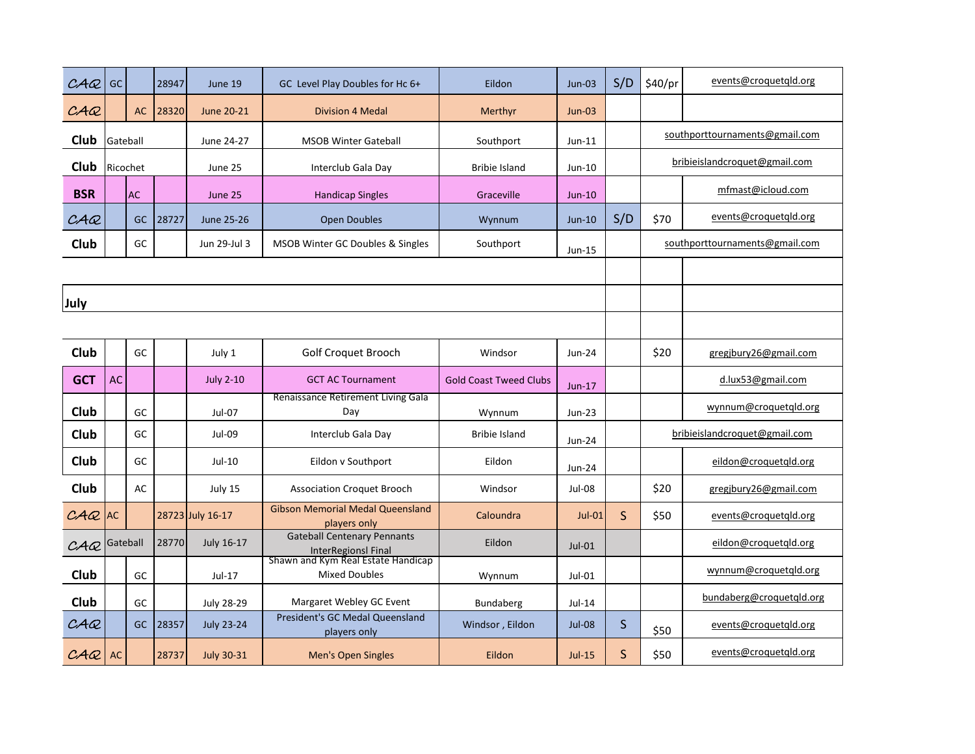| C A Q       | GC        |           | 28947 | June 19           | GC Level Play Doubles for Hc 6+                                  | Eildon                        | $Jun-03$      | S/D          | \$40/pr | events@croquetgld.org          |
|-------------|-----------|-----------|-------|-------------------|------------------------------------------------------------------|-------------------------------|---------------|--------------|---------|--------------------------------|
| C A Q       |           | <b>AC</b> | 28320 | June 20-21        | <b>Division 4 Medal</b>                                          | Merthyr                       | $Jun-03$      |              |         |                                |
| Club        | Gateball  |           |       | June 24-27        | <b>MSOB Winter Gateball</b>                                      | Southport                     | $Jun-11$      |              |         | southporttournaments@gmail.com |
| Club        |           | Ricochet  |       | June 25           | Interclub Gala Day                                               | <b>Bribie Island</b>          | Jun-10        |              |         | bribieislandcroquet@gmail.com  |
| <b>BSR</b>  |           | <b>AC</b> |       | June 25           | <b>Handicap Singles</b>                                          | Graceville                    | $Jun-10$      |              |         | mfmast@icloud.com              |
| C A Q       |           | <b>GC</b> | 28727 | June 25-26        | <b>Open Doubles</b>                                              | Wynnum                        | $Jun-10$      | S/D          | \$70    | events@croquetqld.org          |
| Club        |           | GC        |       | Jun 29-Jul 3      | <b>MSOB Winter GC Doubles &amp; Singles</b>                      | Southport                     | $Jun-15$      |              |         | southporttournaments@gmail.com |
|             |           |           |       |                   |                                                                  |                               |               |              |         |                                |
| July        |           |           |       |                   |                                                                  |                               |               |              |         |                                |
|             |           |           |       |                   |                                                                  |                               |               |              |         |                                |
| Club        |           | GC        |       | July 1            | Golf Croquet Brooch                                              | Windsor                       | Jun-24        |              | \$20    | gregibury26@gmail.com          |
| <b>GCT</b>  | <b>AC</b> |           |       | <b>July 2-10</b>  | <b>GCT AC Tournament</b>                                         | <b>Gold Coast Tweed Clubs</b> | $Jun-17$      |              |         | d.lux53@gmail.com              |
| Club        |           | GC        |       | Jul-07            | Renaissance Retirement Living Gala<br>Day                        | Wynnum                        | Jun-23        |              |         | wynnum@croquetqld.org          |
| <b>Club</b> |           | GC        |       | $Jul-09$          | Interclub Gala Day                                               | <b>Bribie Island</b>          | Jun-24        |              |         | bribieislandcroquet@gmail.com  |
| Club        |           | GC        |       | Jul-10            | Eildon v Southport                                               | Eildon                        | Jun-24        |              |         | eildon@croquetqld.org          |
| Club        |           | AC        |       | July 15           | <b>Association Croquet Brooch</b>                                | Windsor                       | Jul-08        |              | \$20    | gregibury26@gmail.com          |
| $C A Q$ AC  |           |           |       | 28723 July 16-17  | <b>Gibson Memorial Medal Queensland</b><br>players only          | Caloundra                     | <b>Jul-01</b> | $\mathsf{S}$ | \$50    | events@croquetqld.org          |
| C A Q       | Gateball  |           | 28770 | <b>July 16-17</b> | <b>Gateball Centenary Pennants</b><br><b>InterRegionsl Final</b> | Eildon                        | $Jul-01$      |              |         | eildon@croquetgld.org          |
| Club        |           | GC        |       | Jul-17            | Shawn and Kym Real Estate Handicap<br><b>Mixed Doubles</b>       | Wynnum                        | $Jul-01$      |              |         | wynnum@croquetgld.org          |
| Club        |           | GC        |       | <b>July 28-29</b> | Margaret Webley GC Event                                         | Bundaberg                     | $Jul-14$      |              |         | bundaberg@croquetqld.org       |
| CAC         |           | <b>GC</b> | 28357 | <b>July 23-24</b> | President's GC Medal Queensland<br>players only                  | Windsor, Eildon               | <b>Jul-08</b> | $\mathsf{S}$ | \$50    | events@croquetqld.org          |
| C A Q       | <b>AC</b> |           | 28737 | <b>July 30-31</b> | Men's Open Singles                                               | Eildon                        | $Jul-15$      | $\mathsf{S}$ | \$50    | events@croquetqld.org          |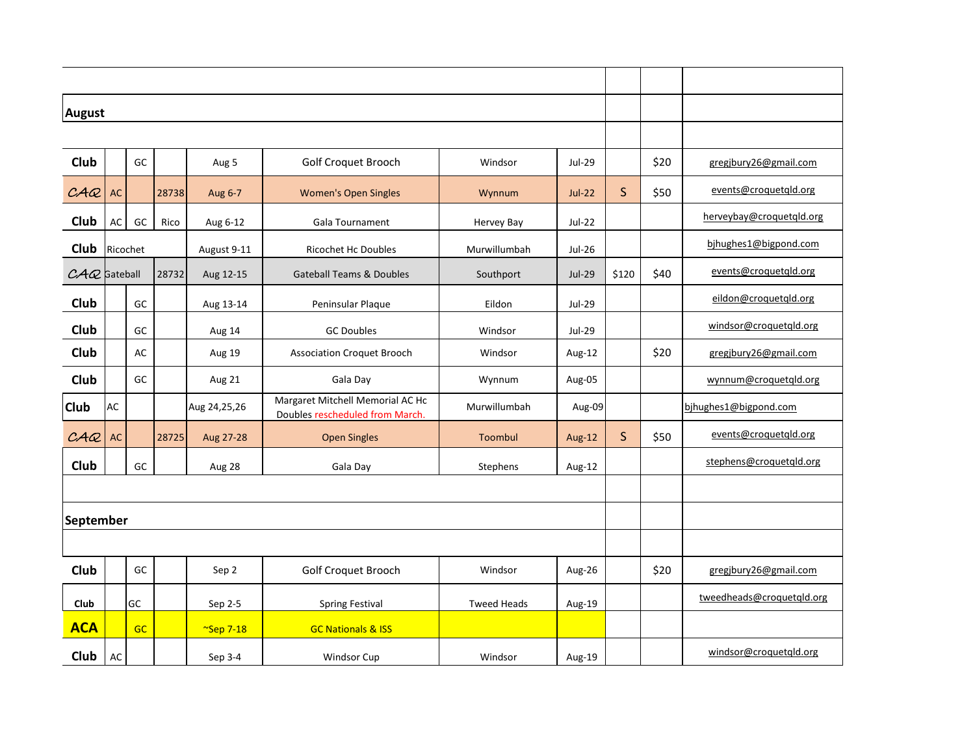| <b>August</b>  |           |    |       |                   |                                                                     |                    |               |              |      |                           |
|----------------|-----------|----|-------|-------------------|---------------------------------------------------------------------|--------------------|---------------|--------------|------|---------------------------|
|                |           |    |       |                   |                                                                     |                    |               |              |      |                           |
| Club           |           | GC |       | Aug 5             | <b>Golf Croquet Brooch</b>                                          | Windsor            | <b>Jul-29</b> |              | \$20 | gregjbury26@gmail.com     |
| CAC            | <b>AC</b> |    | 28738 | Aug 6-7           | <b>Women's Open Singles</b>                                         | Wynnum             | $Jul-22$      | $\mathsf{S}$ | \$50 | events@croquetqld.org     |
| Club           | AC        | GC | Rico  | Aug 6-12          | <b>Gala Tournament</b>                                              | Hervey Bay         | <b>Jul-22</b> |              |      | herveybay@croquetqld.org  |
| Club           | Ricochet  |    |       | August 9-11       | <b>Ricochet Hc Doubles</b>                                          | Murwillumbah       | Jul-26        |              |      | bjhughes1@bigpond.com     |
| $CAC$ Gateball |           |    | 28732 | Aug 12-15         | <b>Gateball Teams &amp; Doubles</b>                                 | Southport          | <b>Jul-29</b> | \$120        | \$40 | events@croquetgld.org     |
| Club           |           | GC |       | Aug 13-14         | Peninsular Plaque                                                   | Eildon             | <b>Jul-29</b> |              |      | eildon@croquetqld.org     |
| Club           |           | GC |       | Aug 14            | <b>GC Doubles</b>                                                   | Windsor            | Jul-29        |              |      | windsor@croquetgld.org    |
| Club           |           | AC |       | Aug 19            | <b>Association Croquet Brooch</b>                                   | Windsor            | Aug-12        |              | \$20 | gregibury26@gmail.com     |
| Club           |           | GC |       | Aug 21            | Gala Day                                                            | Wynnum             | Aug-05        |              |      | wynnum@croquetgld.org     |
| <b>Club</b>    | AC        |    |       | Aug 24,25,26      | Margaret Mitchell Memorial AC Hc<br>Doubles rescheduled from March. | Murwillumbah       | Aug-09        |              |      | bjhughes1@bigpond.com     |
| CAC            | <b>AC</b> |    | 28725 | Aug 27-28         | <b>Open Singles</b>                                                 | Toombul            | Aug-12        | $\mathsf S$  | \$50 | events@croquetqld.org     |
| Club           |           | GC |       | Aug 28            | Gala Day                                                            | Stephens           | Aug-12        |              |      | stephens@croquetqld.org   |
|                |           |    |       |                   |                                                                     |                    |               |              |      |                           |
| September      |           |    |       |                   |                                                                     |                    |               |              |      |                           |
|                |           |    |       |                   |                                                                     |                    |               |              |      |                           |
| Club           |           | GC |       | Sep 2             | Golf Croquet Brooch                                                 | Windsor            | Aug-26        |              | \$20 | gregibury26@gmail.com     |
| Club           |           | GC |       | Sep 2-5           | <b>Spring Festival</b>                                              | <b>Tweed Heads</b> | Aug-19        |              |      | tweedheads@croquetqld.org |
| <b>ACA</b>     |           | GC |       | $\infty$ Sep 7-18 | <b>GC Nationals &amp; ISS</b>                                       |                    |               |              |      |                           |
| Club           | AC        |    |       | Sep 3-4           | <b>Windsor Cup</b>                                                  | Windsor            | Aug-19        |              |      | windsor@croquetqld.org    |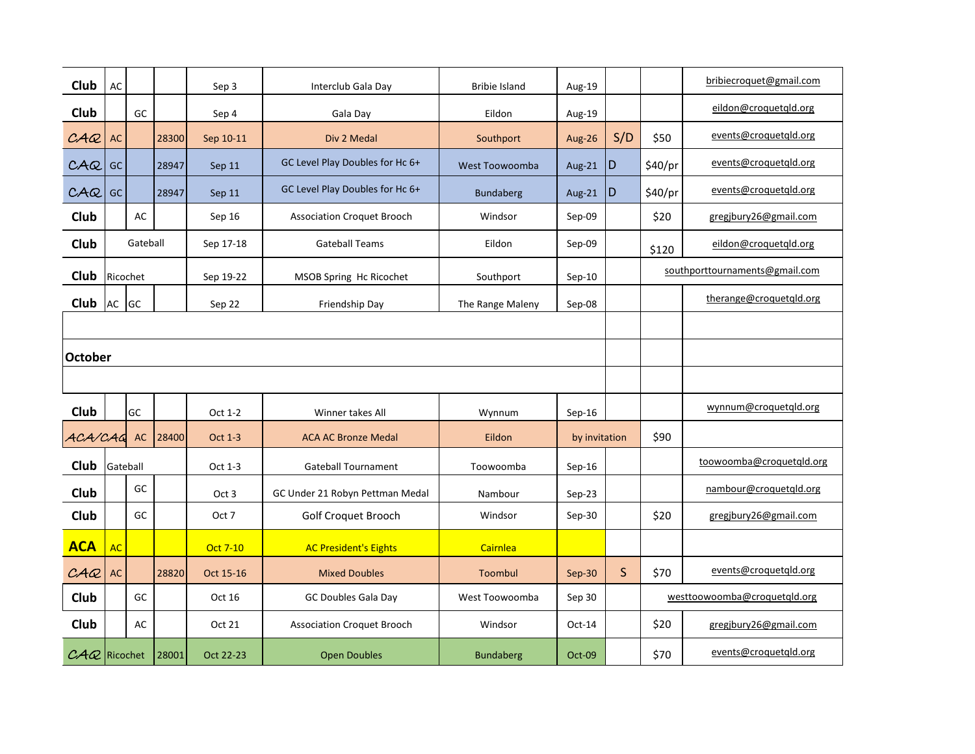| Club           | AC        |           |       | Sep 3            | Interclub Gala Day                | <b>Bribie Island</b> | Aug-19        |              |         | bribiecroquet@gmail.com        |
|----------------|-----------|-----------|-------|------------------|-----------------------------------|----------------------|---------------|--------------|---------|--------------------------------|
| Club           |           | GC        |       | Sep 4            | Gala Day                          | Eildon               | Aug-19        |              |         | eildon@croquetqld.org          |
| CAC            | <b>AC</b> |           | 28300 | Sep 10-11        | Div 2 Medal                       | Southport            | Aug-26        | S/D          | \$50    | events@croquetqld.org          |
| C A Q          | GC        |           | 28947 | Sep 11           | GC Level Play Doubles for Hc 6+   | West Toowoomba       | Aug-21        | D            | \$40/pr | events@croquetqld.org          |
| C A Q          | GC        |           | 28947 | Sep 11           | GC Level Play Doubles for Hc 6+   | <b>Bundaberg</b>     | Aug-21        | D            | \$40/pr | events@croquetqld.org          |
| Club           |           | AC        |       | Sep 16           | <b>Association Croquet Brooch</b> | Windsor              | Sep-09        |              | \$20    | gregjbury26@gmail.com          |
| Club           |           | Gateball  |       | Sep 17-18        | <b>Gateball Teams</b>             | Eildon               | Sep-09        |              | \$120   | eildon@croquetqld.org          |
| Club           | Ricochet  |           |       | Sep 19-22        | MSOB Spring Hc Ricochet           | Southport            | $Sep-10$      |              |         | southporttournaments@gmail.com |
| Club           | AC        | GC        |       | Sep 22           | Friendship Day                    | The Range Maleny     | Sep-08        |              |         | therange@croquetqld.org        |
|                |           |           |       |                  |                                   |                      |               |              |         |                                |
| <b>October</b> |           |           |       |                  |                                   |                      |               |              |         |                                |
|                |           |           |       |                  |                                   |                      |               |              |         |                                |
| Club           |           | GC        |       | Oct 1-2          | Winner takes All                  | Wynnum               | $Sep-16$      |              |         | wynnum@croquetqld.org          |
| ACA/CAG        |           | <b>AC</b> | 28400 | Oct 1-3          | <b>ACA AC Bronze Medal</b>        | Eildon               | by invitation |              | \$90    |                                |
| <b>Club</b>    | Gateball  |           |       | Oct 1-3          | <b>Gateball Tournament</b>        | Toowoomba            | $Sep-16$      |              |         | toowoomba@croquetqld.org       |
| Club           |           | GC        |       | Oct <sub>3</sub> | GC Under 21 Robyn Pettman Medal   | Nambour              | $Sep-23$      |              |         | nambour@croquetqld.org         |
| Club           |           | GC        |       | Oct 7            | Golf Croquet Brooch               | Windsor              | Sep-30        |              | \$20    | gregjbury26@gmail.com          |
| <b>ACA</b>     | <b>AC</b> |           |       | <b>Oct 7-10</b>  | <b>AC President's Eights</b>      | Cairnlea             |               |              |         |                                |
| C A Q          | AC        |           | 28820 | Oct 15-16        | <b>Mixed Doubles</b>              | Toombul              | Sep-30        | $\mathsf{S}$ | \$70    | events@croquetqld.org          |
| Club           |           | GC        |       | Oct 16           | GC Doubles Gala Day               | West Toowoomba       | Sep 30        |              |         | westtoowoomba@croquetqld.org   |
| Club           |           | AC        |       | Oct 21           | <b>Association Croquet Brooch</b> | Windsor              | Oct-14        |              | \$20    | gregjbury26@gmail.com          |
| $CAQ$ Ricochet |           |           | 28001 | Oct 22-23        | <b>Open Doubles</b>               | <b>Bundaberg</b>     | Oct-09        |              | \$70    | events@croquetqld.org          |